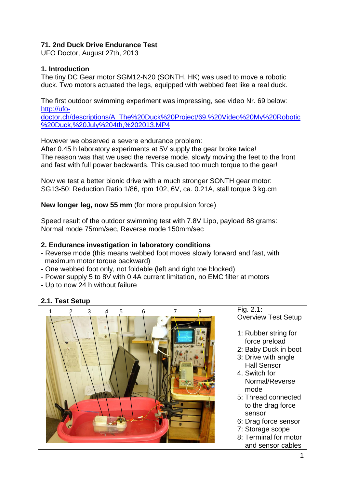## **71. 2nd Duck Drive Endurance Test**

UFO Doctor, August 27th, 2013

#### **1. Introduction**

The tiny DC Gear motor SGM12-N20 (SONTH, HK) was used to move a robotic duck. Two motors actuated the legs, equipped with webbed feet like a real duck.

The first outdoor swimming experiment was impressing, see video Nr. 69 below: [http://ufo-](http://ufo-doctor.ch/descriptions/A_The%20Duck%20Project/69.%20Video%20My%20Robotic%20Duck,%20July%204th,%202013.MP4)

[doctor.ch/descriptions/A\\_The%20Duck%20Project/69.%20Video%20My%20Robotic](http://ufo-doctor.ch/descriptions/A_The%20Duck%20Project/69.%20Video%20My%20Robotic%20Duck,%20July%204th,%202013.MP4) [%20Duck,%20July%204th,%202013.MP4](http://ufo-doctor.ch/descriptions/A_The%20Duck%20Project/69.%20Video%20My%20Robotic%20Duck,%20July%204th,%202013.MP4)

However we observed a severe endurance problem:

After 0.45 h laboratory experiments at 5V supply the gear broke twice! The reason was that we used the reverse mode, slowly moving the feet to the front and fast with full power backwards. This caused too much torque to the gear!

Now we test a better bionic drive with a much stronger SONTH gear motor: SG13-50: Reduction Ratio 1/86, rpm 102, 6V, ca. 0.21A, stall torque 3 kg.cm

**New longer leg, now 55 mm** (for more propulsion force)

Speed result of the outdoor swimming test with 7.8V Lipo, payload 88 grams: Normal mode 75mm/sec, Reverse mode 150mm/sec

#### **2. Endurance investigation in laboratory conditions**

- Reverse mode (this means webbed foot moves slowly forward and fast, with maximum motor torque backward)
- One webbed foot only, not foldable (left and right toe blocked)
- Power supply 5 to 8V with 0.4A current limitation, no EMC filter at motors
- Up to now 24 h without failure

## **2.1. Test Setup**

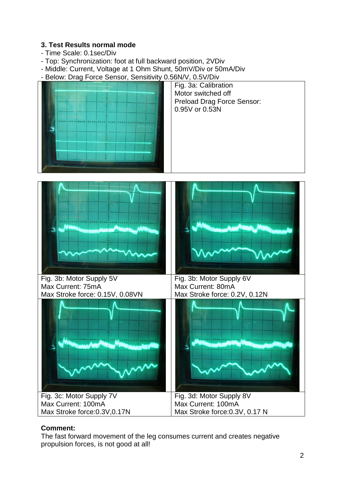## **3. Test Results normal mode**

- Time Scale: 0.1sec/Div
- Top: Synchronization: foot at full backward position, 2VDiv
- Middle: Current, Voltage at 1 Ohm Shunt, 50mV/Div or 50mA/Div
- Below: Drag Force Sensor, Sensitivity 0.56N/V, 0.5V/Div



Fig. 3a: Calibration Motor switched off Preload Drag Force Sensor: 0.95V or 0.53N



## **Comment:**

The fast forward movement of the leg consumes current and creates negative propulsion forces, is not good at all!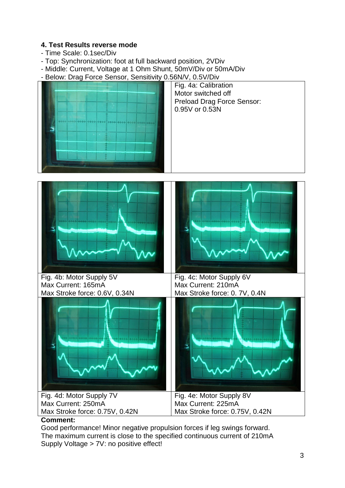## **4. Test Results reverse mode**

- Time Scale: 0.1sec/Div
- Top: Synchronization: foot at full backward position, 2VDiv
- Middle: Current, Voltage at 1 Ohm Shunt, 50mV/Div or 50mA/Div
- Below: Drag Force Sensor, Sensitivity 0.56N/V, 0.5V/Div



Fig. 4a: Calibration Motor switched off Preload Drag Force Sensor: 0.95V or 0.53N



#### **Comment:**

Good performance! Minor negative propulsion forces if leg swings forward. The maximum current is close to the specified continuous current of 210mA Supply Voltage > 7V: no positive effect!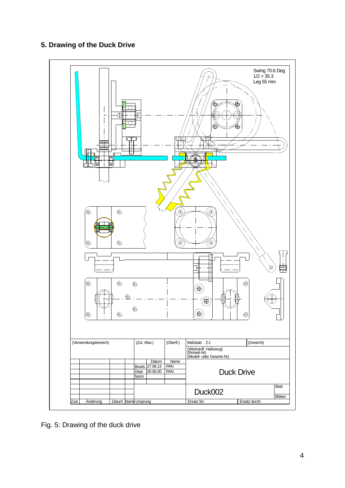# **5. Drawing of the Duck Drive**



Fig. 5: Drawing of the duck drive